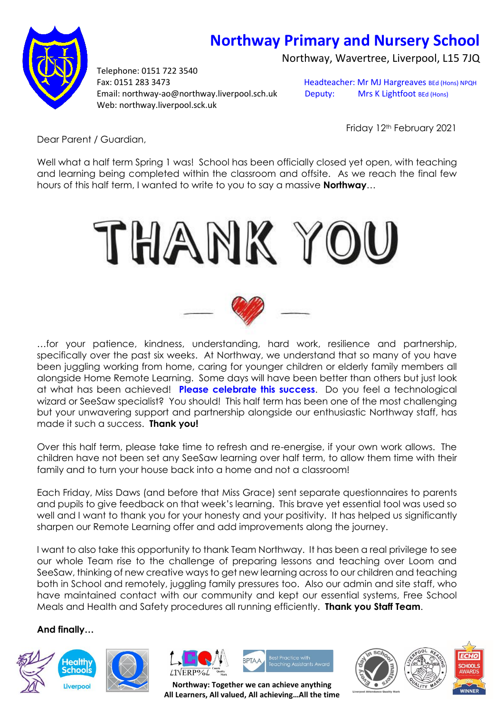## **Northway Primary and Nursery School**

Northway, Wavertree, Liverpool, L15 7JQ



Telephone: 0151 722 3540 Fax: 0151 283 3473 Headteacher: Mr MJ Hargreaves BEd (Hons) NPQH Email: northway-ao@northway.liverpool.sch.uk Deputy: Mrs K Lightfoot BEd (Hons) Web: northway.liverpool.sck.uk

Friday 12<sup>th</sup> February 2021

Dear Parent / Guardian,

Well what a half term Spring 1 was! School has been officially closed yet open, with teaching and learning being completed within the classroom and offsite. As we reach the final few hours of this half term, I wanted to write to you to say a massive **Northway**…





…for your patience, kindness, understanding, hard work, resilience and partnership, specifically over the past six weeks. At Northway, we understand that so many of you have been juggling working from home, caring for younger children or elderly family members all alongside Home Remote Learning. Some days will have been better than others but just look at what has been achieved! **Please celebrate this success**. Do you feel a technological wizard or SeeSaw specialist? You should! This half term has been one of the most challenging but your unwavering support and partnership alongside our enthusiastic Northway staff, has made it such a success. **Thank you!**

Over this half term, please take time to refresh and re-energise, if your own work allows. The children have not been set any SeeSaw learning over half term, to allow them time with their family and to turn your house back into a home and not a classroom!

Each Friday, Miss Daws (and before that Miss Grace) sent separate questionnaires to parents and pupils to give feedback on that week's learning. This brave yet essential tool was used so well and I want to thank you for your honesty and your positivity. It has helped us significantly sharpen our Remote Learning offer and add improvements along the journey.

I want to also take this opportunity to thank Team Northway. It has been a real privilege to see our whole Team rise to the challenge of preparing lessons and teaching over Loom and SeeSaw, thinking of new creative ways to get new learning across to our children and teaching both in School and remotely, juggling family pressures too. Also our admin and site staff, who have maintained contact with our community and kept our essential systems, Free School Meals and Health and Safety procedures all running efficiently. **Thank you Staff Team**.

## **And finally…**









**Northway: Together we can achieve anything All Learners, All valued, All achieving…All the time**